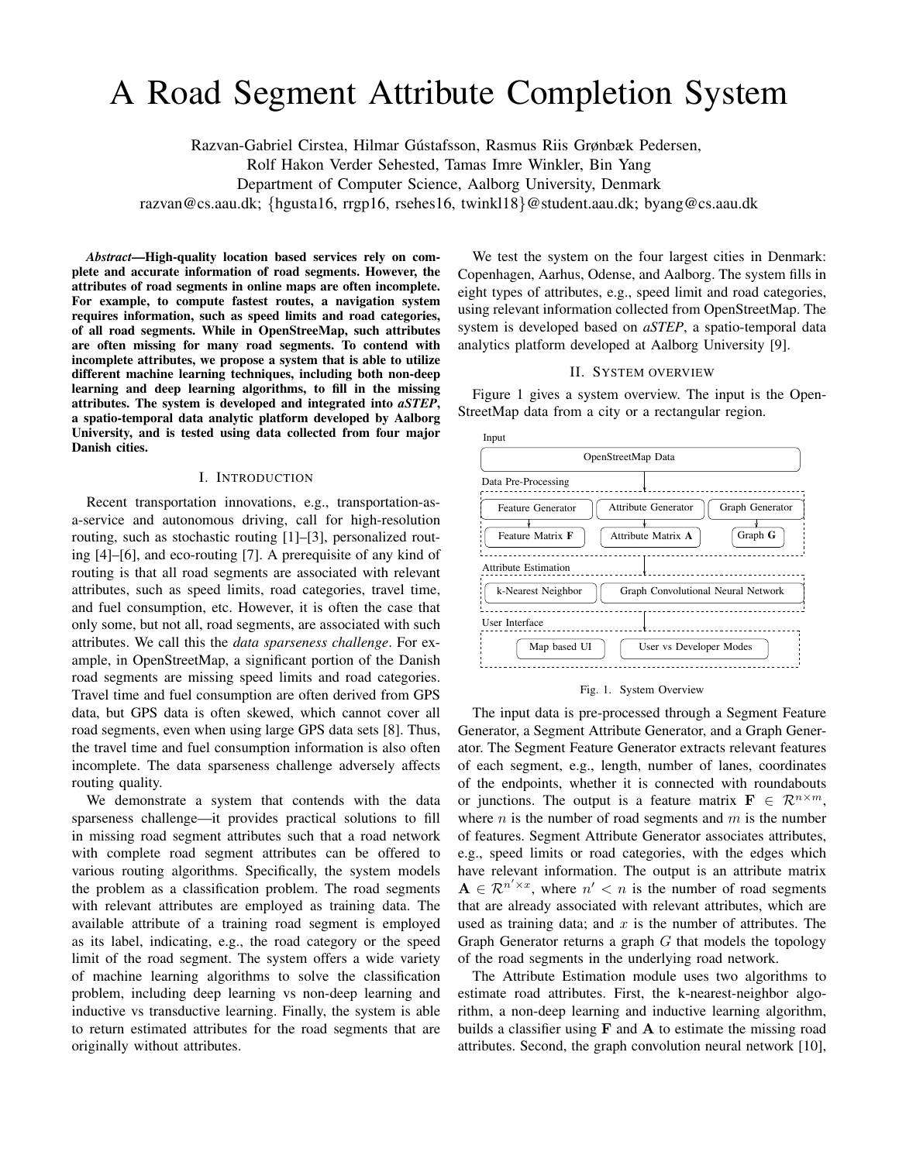# A Road Segment Attribute Completion System

Razvan-Gabriel Cirstea, Hilmar Gústafsson, Rasmus Riis Grønbæk Pedersen,

Rolf Hakon Verder Sehested, Tamas Imre Winkler, Bin Yang

Department of Computer Science, Aalborg University, Denmark

razvan@cs.aau.dk; {hgusta16, rrgp16, rsehes16, twinkl18}@student.aau.dk; byang@cs.aau.dk

*Abstract*—High-quality location based services rely on complete and accurate information of road segments. However, the attributes of road segments in online maps are often incomplete. For example, to compute fastest routes, a navigation system requires information, such as speed limits and road categories, of all road segments. While in OpenStreeMap, such attributes are often missing for many road segments. To contend with incomplete attributes, we propose a system that is able to utilize different machine learning techniques, including both non-deep learning and deep learning algorithms, to fill in the missing attributes. The system is developed and integrated into *aSTEP*, a spatio-temporal data analytic platform developed by Aalborg University, and is tested using data collected from four major Danish cities.

### I. INTRODUCTION

Recent transportation innovations, e.g., transportation-asa-service and autonomous driving, call for high-resolution routing, such as stochastic routing [1]–[3], personalized routing [4]–[6], and eco-routing [7]. A prerequisite of any kind of routing is that all road segments are associated with relevant attributes, such as speed limits, road categories, travel time, and fuel consumption, etc. However, it is often the case that only some, but not all, road segments, are associated with such attributes. We call this the *data sparseness challenge*. For example, in OpenStreetMap, a significant portion of the Danish road segments are missing speed limits and road categories. Travel time and fuel consumption are often derived from GPS data, but GPS data is often skewed, which cannot cover all road segments, even when using large GPS data sets [8]. Thus, the travel time and fuel consumption information is also often incomplete. The data sparseness challenge adversely affects routing quality.

We demonstrate a system that contends with the data sparseness challenge—it provides practical solutions to fill in missing road segment attributes such that a road network with complete road segment attributes can be offered to various routing algorithms. Specifically, the system models the problem as a classification problem. The road segments with relevant attributes are employed as training data. The available attribute of a training road segment is employed as its label, indicating, e.g., the road category or the speed limit of the road segment. The system offers a wide variety of machine learning algorithms to solve the classification problem, including deep learning vs non-deep learning and inductive vs transductive learning. Finally, the system is able to return estimated attributes for the road segments that are originally without attributes.

We test the system on the four largest cities in Denmark: Copenhagen, Aarhus, Odense, and Aalborg. The system fills in eight types of attributes, e.g., speed limit and road categories, using relevant information collected from OpenStreetMap. The system is developed based on *aSTEP*, a spatio-temporal data analytics platform developed at Aalborg University [9].

# II. SYSTEM OVERVIEW

Figure 1 gives a system overview. The input is the Open-StreetMap data from a city or a rectangular region.



#### Fig. 1. System Overview

The input data is pre-processed through a Segment Feature Generator, a Segment Attribute Generator, and a Graph Generator. The Segment Feature Generator extracts relevant features of each segment, e.g., length, number of lanes, coordinates of the endpoints, whether it is connected with roundabouts or junctions. The output is a feature matrix  $\mathbf{F} \in \mathbb{R}^{n \times m}$ , where  $n$  is the number of road segments and  $m$  is the number of features. Segment Attribute Generator associates attributes, e.g., speed limits or road categories, with the edges which have relevant information. The output is an attribute matrix  $A \in \mathbb{R}^{n' \times x}$ , where  $n' < n$  is the number of road segments that are already associated with relevant attributes, which are used as training data; and  $x$  is the number of attributes. The Graph Generator returns a graph  $G$  that models the topology of the road segments in the underlying road network.

The Attribute Estimation module uses two algorithms to estimate road attributes. First, the k-nearest-neighbor algorithm, a non-deep learning and inductive learning algorithm, builds a classifier using  $F$  and  $A$  to estimate the missing road attributes. Second, the graph convolution neural network [10],